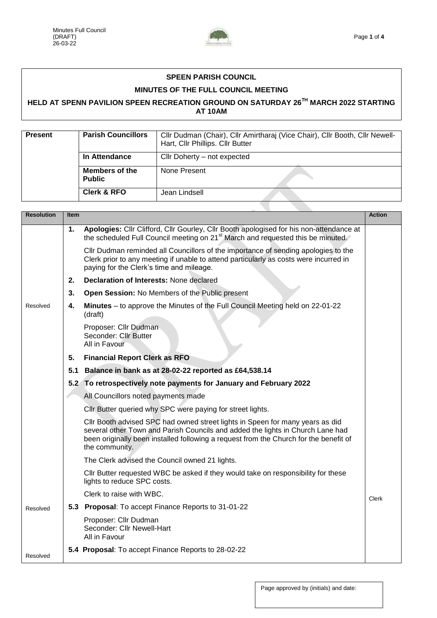

## **SPEEN PARISH COUNCIL**

## **MINUTES OF THE FULL COUNCIL MEETING**

## **HELD AT SPENN PAVILION SPEEN RECREATION GROUND ON SATURDAY 26TH MARCH 2022 STARTING AT 10AM**

| <b>Present</b> | <b>Parish Councillors</b>              | Cllr Dudman (Chair), Cllr Amirtharaj (Vice Chair), Cllr Booth, Cllr Newell-<br>Hart, Cllr Phillips. Cllr Butter |
|----------------|----------------------------------------|-----------------------------------------------------------------------------------------------------------------|
|                | In Attendance                          | Cllr Doherty - not expected                                                                                     |
|                | <b>Members of the</b><br><b>Public</b> | None Present                                                                                                    |
|                | <b>Clerk &amp; RFO</b>                 | Jean Lindsell                                                                                                   |
|                |                                        |                                                                                                                 |

| <b>Resolution</b> | <b>Item</b> |                                                                                                                                                                                                                                                                            | <b>Action</b> |
|-------------------|-------------|----------------------------------------------------------------------------------------------------------------------------------------------------------------------------------------------------------------------------------------------------------------------------|---------------|
|                   | 1.          | Apologies: Cllr Clifford, Cllr Gourley, Cllr Booth apologised for his non-attendance at<br>the scheduled Full Council meeting on 21 <sup>st</sup> March and requested this be minuted.                                                                                     |               |
|                   |             | Cllr Dudman reminded all Councillors of the importance of sending apologies to the<br>Clerk prior to any meeting if unable to attend particularly as costs were incurred in<br>paying for the Clerk's time and mileage.                                                    |               |
|                   | 2.          | Declaration of Interests: None declared                                                                                                                                                                                                                                    |               |
|                   | 3.          | Open Session: No Members of the Public present                                                                                                                                                                                                                             |               |
| Resolved          | 4.          | Minutes – to approve the Minutes of the Full Council Meeting held on 22-01-22<br>(draft)                                                                                                                                                                                   |               |
|                   |             | Proposer: Cllr Dudman<br>Seconder: Cllr Butter<br>All in Favour                                                                                                                                                                                                            |               |
|                   | 5.          | <b>Financial Report Clerk as RFO</b>                                                                                                                                                                                                                                       |               |
|                   |             | 5.1 Balance in bank as at 28-02-22 reported as £64,538.14                                                                                                                                                                                                                  |               |
|                   |             | 5.2 To retrospectively note payments for January and February 2022                                                                                                                                                                                                         |               |
|                   |             | All Councillors noted payments made                                                                                                                                                                                                                                        |               |
|                   |             | Cllr Butter queried why SPC were paying for street lights.                                                                                                                                                                                                                 |               |
|                   |             | CIIr Booth advised SPC had owned street lights in Speen for many years as did<br>several other Town and Parish Councils and added the lights in Church Lane had<br>been originally been installed following a request from the Church for the benefit of<br>the community. |               |
|                   |             | The Clerk advised the Council owned 21 lights.                                                                                                                                                                                                                             |               |
|                   |             | CIIr Butter requested WBC be asked if they would take on responsibility for these<br>lights to reduce SPC costs.                                                                                                                                                           |               |
|                   |             | Clerk to raise with WBC.                                                                                                                                                                                                                                                   | <b>Clerk</b>  |
| Resolved          |             | 5.3 Proposal: To accept Finance Reports to 31-01-22                                                                                                                                                                                                                        |               |
|                   |             | Proposer: Cllr Dudman<br>Seconder: Cllr Newell-Hart<br>All in Favour                                                                                                                                                                                                       |               |
| Resolved          |             | 5.4 Proposal: To accept Finance Reports to 28-02-22                                                                                                                                                                                                                        |               |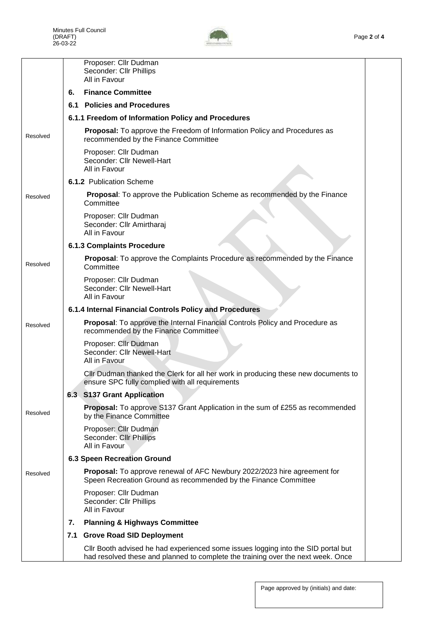

|          |    | Proposer: Cllr Dudman<br>Seconder: Cllr Phillips<br>All in Favour                                                                                                     |  |
|----------|----|-----------------------------------------------------------------------------------------------------------------------------------------------------------------------|--|
|          | 6. | <b>Finance Committee</b>                                                                                                                                              |  |
|          |    | 6.1 Policies and Procedures                                                                                                                                           |  |
|          |    | 6.1.1 Freedom of Information Policy and Procedures                                                                                                                    |  |
| Resolved |    | Proposal: To approve the Freedom of Information Policy and Procedures as<br>recommended by the Finance Committee                                                      |  |
|          |    | Proposer: Cllr Dudman<br>Seconder: Cllr Newell-Hart<br>All in Favour                                                                                                  |  |
|          |    | 6.1.2 Publication Scheme                                                                                                                                              |  |
| Resolved |    | <b>Proposal:</b> To approve the Publication Scheme as recommended by the Finance<br>Committee                                                                         |  |
|          |    | Proposer: Cllr Dudman<br>Seconder: Cllr Amirtharaj<br>All in Favour                                                                                                   |  |
|          |    | <b>6.1.3 Complaints Procedure</b>                                                                                                                                     |  |
| Resolved |    | Proposal: To approve the Complaints Procedure as recommended by the Finance<br>Committee                                                                              |  |
|          |    | Proposer: Cllr Dudman<br>Seconder: Cllr Newell-Hart<br>All in Favour                                                                                                  |  |
|          |    | 6.1.4 Internal Financial Controls Policy and Procedures                                                                                                               |  |
| Resolved |    | <b>Proposal:</b> To approve the Internal Financial Controls Policy and Procedure as<br>recommended by the Finance Committee                                           |  |
|          |    | Proposer: Cllr Dudman<br>Seconder: Cllr Newell-Hart<br>All in Favour                                                                                                  |  |
|          |    | Cllr Dudman thanked the Clerk for all her work in producing these new documents to<br>ensure SPC fully complied with all requirements                                 |  |
|          |    | 6.3 S137 Grant Application                                                                                                                                            |  |
| Resolved |    | <b>Proposal:</b> To approve S137 Grant Application in the sum of £255 as recommended<br>by the Finance Committee                                                      |  |
|          |    | Proposer: Cllr Dudman<br>Seconder: Cllr Phillips<br>All in Favour                                                                                                     |  |
|          |    | <b>6.3 Speen Recreation Ground</b>                                                                                                                                    |  |
| Resolved |    | <b>Proposal:</b> To approve renewal of AFC Newbury 2022/2023 hire agreement for<br>Speen Recreation Ground as recommended by the Finance Committee                    |  |
|          |    | Proposer: Cllr Dudman<br>Seconder: Cllr Phillips<br>All in Favour                                                                                                     |  |
|          | 7. | <b>Planning &amp; Highways Committee</b>                                                                                                                              |  |
|          |    | 7.1 Grove Road SID Deployment                                                                                                                                         |  |
|          |    | CIIr Booth advised he had experienced some issues logging into the SID portal but<br>had resolved these and planned to complete the training over the next week. Once |  |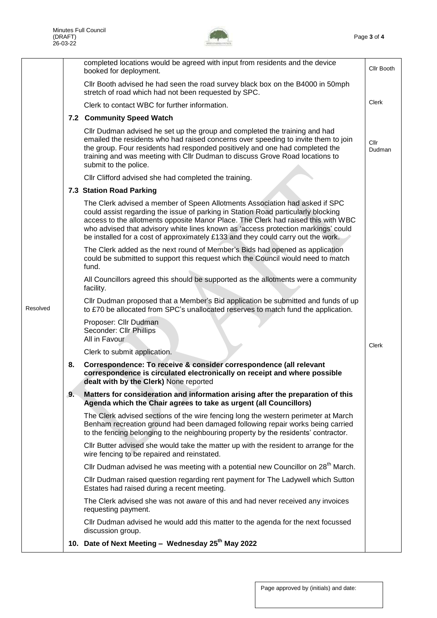

|          |    | completed locations would be agreed with input from residents and the device<br>booked for deployment.                                                                                                                                                                                                                                                                                                                         | Cllr Booth     |
|----------|----|--------------------------------------------------------------------------------------------------------------------------------------------------------------------------------------------------------------------------------------------------------------------------------------------------------------------------------------------------------------------------------------------------------------------------------|----------------|
|          |    | Cllr Booth advised he had seen the road survey black box on the B4000 in 50mph<br>stretch of road which had not been requested by SPC.                                                                                                                                                                                                                                                                                         |                |
|          |    | Clerk to contact WBC for further information.                                                                                                                                                                                                                                                                                                                                                                                  | Clerk          |
|          |    | 7.2 Community Speed Watch                                                                                                                                                                                                                                                                                                                                                                                                      |                |
|          |    | Cllr Dudman advised he set up the group and completed the training and had<br>emailed the residents who had raised concerns over speeding to invite them to join<br>the group. Four residents had responded positively and one had completed the<br>training and was meeting with Cllr Dudman to discuss Grove Road locations to<br>submit to the police.                                                                      | Cllr<br>Dudman |
|          |    | Cllr Clifford advised she had completed the training.                                                                                                                                                                                                                                                                                                                                                                          |                |
|          |    | 7.3 Station Road Parking                                                                                                                                                                                                                                                                                                                                                                                                       |                |
|          |    | The Clerk advised a member of Speen Allotments Association had asked if SPC<br>could assist regarding the issue of parking in Station Road particularly blocking<br>access to the allotments opposite Manor Place. The Clerk had raised this with WBC<br>who advised that advisory white lines known as 'access protection markings' could<br>be installed for a cost of approximately £133 and they could carry out the work. |                |
|          |    | The Clerk added as the next round of Member's Bids had opened as application<br>could be submitted to support this request which the Council would need to match<br>fund.                                                                                                                                                                                                                                                      |                |
|          |    | All Councillors agreed this should be supported as the allotments were a community<br>facility.                                                                                                                                                                                                                                                                                                                                |                |
| Resolved |    | Cllr Dudman proposed that a Member's Bid application be submitted and funds of up<br>to £70 be allocated from SPC's unallocated reserves to match fund the application.                                                                                                                                                                                                                                                        |                |
|          |    | Proposer: Cllr Dudman<br>Seconder: Cllr Phillips<br>All in Favour                                                                                                                                                                                                                                                                                                                                                              | Clerk          |
|          |    | Clerk to submit application.                                                                                                                                                                                                                                                                                                                                                                                                   |                |
|          | 8. | Correspondence: To receive & consider correspondence (all relevant<br>correspondence is circulated electronically on receipt and where possible<br>dealt with by the Clerk) None reported                                                                                                                                                                                                                                      |                |
|          | 9. | Matters for consideration and information arising after the preparation of this<br>Agenda which the Chair agrees to take as urgent (all Councillors)                                                                                                                                                                                                                                                                           |                |
|          |    | The Clerk advised sections of the wire fencing long the western perimeter at March<br>Benham recreation ground had been damaged following repair works being carried<br>to the fencing belonging to the neighbouring property by the residents' contractor.                                                                                                                                                                    |                |
|          |    | CIIr Butter advised she would take the matter up with the resident to arrange for the<br>wire fencing to be repaired and reinstated.                                                                                                                                                                                                                                                                                           |                |
|          |    | Cllr Dudman advised he was meeting with a potential new Councillor on 28 <sup>th</sup> March.                                                                                                                                                                                                                                                                                                                                  |                |
|          |    | CIIr Dudman raised question regarding rent payment for The Ladywell which Sutton<br>Estates had raised during a recent meeting.                                                                                                                                                                                                                                                                                                |                |
|          |    | The Clerk advised she was not aware of this and had never received any invoices<br>requesting payment.                                                                                                                                                                                                                                                                                                                         |                |
|          |    | Cllr Dudman advised he would add this matter to the agenda for the next focussed<br>discussion group.                                                                                                                                                                                                                                                                                                                          |                |
|          |    | 10. Date of Next Meeting - Wednesday 25 <sup>th</sup> May 2022                                                                                                                                                                                                                                                                                                                                                                 |                |